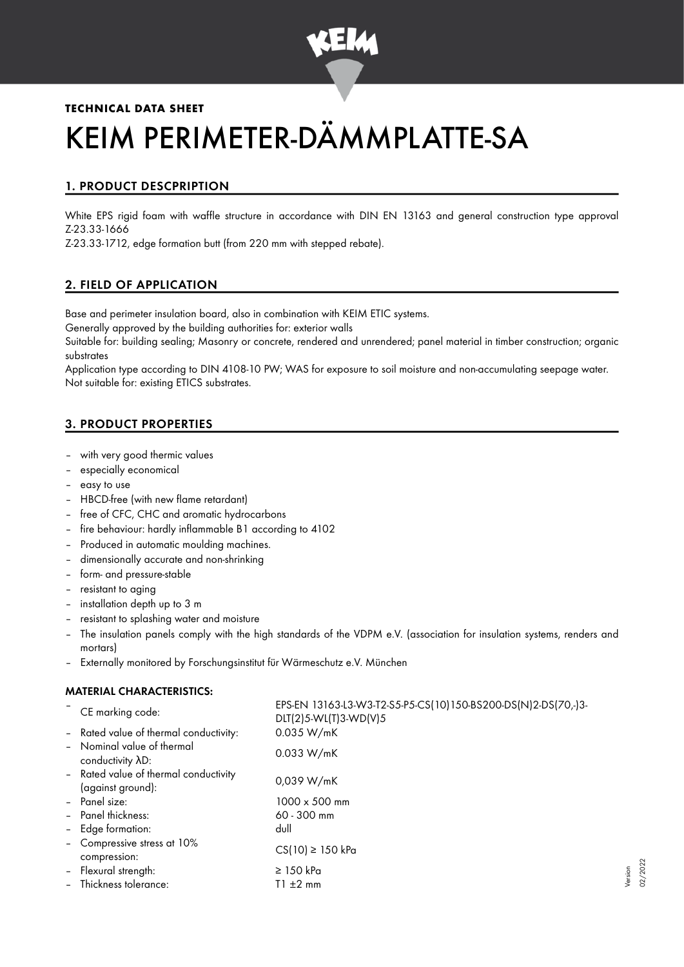

# **TECHNICAL DATA SHEET** KEIM PERIMETER-DÄMMPLATTE-SA

## 1. PRODUCT DESCPRIPTION

White EPS rigid foam with waffle structure in accordance with DIN EN 13163 and general construction type approval Z-23.33-1666

Z-23.33-1712, edge formation butt (from 220 mm with stepped rebate).

## 2. FIELD OF APPLICATION

Base and perimeter insulation board, also in combination with KEIM ETIC systems.

Generally approved by the building authorities for: exterior walls

Suitable for: building sealing; Masonry or concrete, rendered and unrendered; panel material in timber construction; organic substrates

Application type according to DIN 4108-10 PW; WAS for exposure to soil moisture and non-accumulating seepage water. Not suitable for: existing ETICS substrates.

## 3. PRODUCT PROPERTIES

- with very good thermic values
- especially economical
- easy to use
- HBCD-free (with new flame retardant)
- free of CFC, CHC and aromatic hydrocarbons
- fire behaviour: hardly inflammable B1 according to 4102
- Produced in automatic moulding machines.
- dimensionally accurate and non-shrinking
- form- and pressure-stable
- resistant to aging
- installation depth up to 3 m
- resistant to splashing water and moisture
- The insulation panels comply with the high standards of the VDPM e.V. (association for insulation systems, renders and mortars)
- Externally monitored by Forschungsinstitut für Wärmeschutz e.V. München

#### MATERIAL CHARACTERISTICS:

| CE marking code:                                           | EPS-EN 13163-L3-W3-T2-S5-P5-CS(10)150-BS200-DS(N)2-DS(70,-)3-<br>$DIT(2)5-WL(T)3-WD(V)5$ |
|------------------------------------------------------------|------------------------------------------------------------------------------------------|
| - Rated value of thermal conductivity:                     | 0.035 W/mK                                                                               |
| - Nominal value of thermal<br>conductivity AD:             | 0.033 W/mK                                                                               |
| - Rated value of thermal conductivity<br>(against ground): | 0,039 W/mK                                                                               |
| - Panel size:                                              | 1000 x 500 mm                                                                            |
| - Panel thickness:                                         | $60 - 300$ mm                                                                            |
| - Edge formation:                                          | dull                                                                                     |
| - Compressive stress at 10%<br>compression:                | $CS(10) \ge 150$ kPa                                                                     |
| - Flexural strength:                                       | $\geq$ 150 kPa                                                                           |
| - Thickness tolerance:                                     | $T1 \pm 2$ mm                                                                            |

Version 02/2022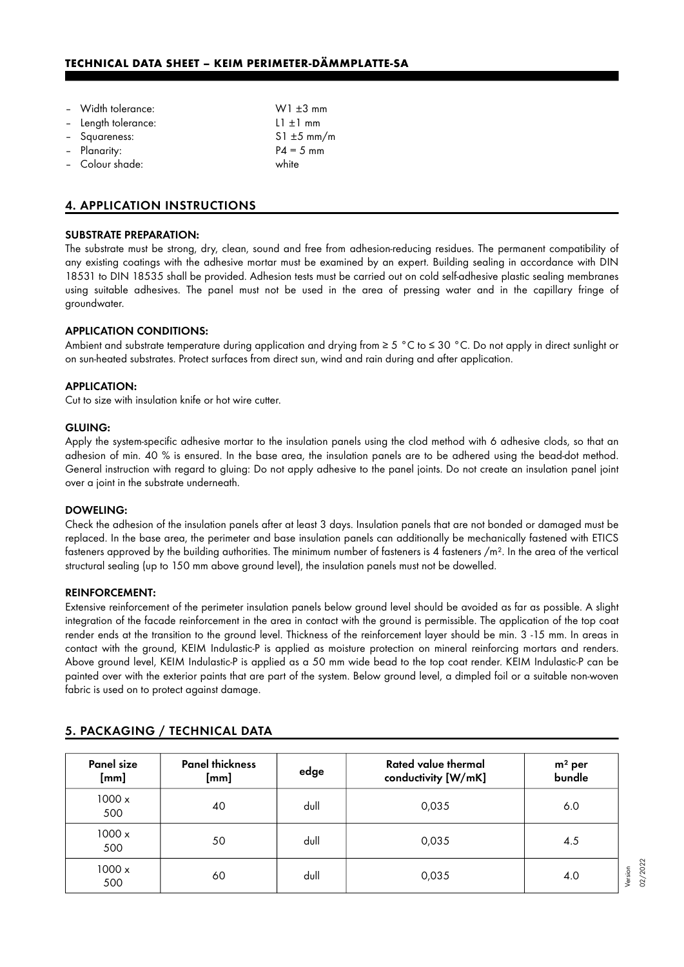## **TECHNICAL DATA SHEET – KEIM PERIMETER-DÄMMPLATTE-SA**

| - Width tolerance:  | $W1 \pm 3$ mm                    |
|---------------------|----------------------------------|
| - Length tolerance: | $\lfloor \frac{1}{2} \rfloor$ mm |
| - Squareness:       | $S1 \pm 5$ mm/m                  |
| - Planarity:        | $P4 = 5$ mm                      |
| - Colour shade:     | white                            |
|                     |                                  |

## 4. APPLICATION INSTRUCTIONS

#### SUBSTRATE PREPARATION:

The substrate must be strong, dry, clean, sound and free from adhesion-reducing residues. The permanent compatibility of any existing coatings with the adhesive mortar must be examined by an expert. Building sealing in accordance with DIN 18531 to DIN 18535 shall be provided. Adhesion tests must be carried out on cold self-adhesive plastic sealing membranes using suitable adhesives. The panel must not be used in the area of pressing water and in the capillary fringe of groundwater.

#### APPLICATION CONDITIONS:

Ambient and substrate temperature during application and drying from ≥ 5 °C to ≤ 30 °C. Do not apply in direct sunlight or on sun-heated substrates. Protect surfaces from direct sun, wind and rain during and after application.

#### APPLICATION:

Cut to size with insulation knife or hot wire cutter.

#### GLUING:

Apply the system-specific adhesive mortar to the insulation panels using the clod method with 6 adhesive clods, so that an adhesion of min. 40 % is ensured. In the base area, the insulation panels are to be adhered using the bead-dot method. General instruction with regard to gluing: Do not apply adhesive to the panel joints. Do not create an insulation panel joint over a joint in the substrate underneath.

#### DOWELING:

Check the adhesion of the insulation panels after at least 3 days. Insulation panels that are not bonded or damaged must be replaced. In the base area, the perimeter and base insulation panels can additionally be mechanically fastened with ETICS fasteners approved by the building authorities. The minimum number of fasteners is 4 fasteners  $/m<sup>2</sup>$ . In the area of the vertical structural sealing (up to 150 mm above ground level), the insulation panels must not be dowelled.

#### REINFORCEMENT:

Extensive reinforcement of the perimeter insulation panels below ground level should be avoided as far as possible. A slight integration of the facade reinforcement in the area in contact with the ground is permissible. The application of the top coat render ends at the transition to the ground level. Thickness of the reinforcement layer should be min. 3 -15 mm. In areas in contact with the ground, KEIM Indulastic-P is applied as moisture protection on mineral reinforcing mortars and renders. Above ground level, KEIM Indulastic-P is applied as a 50 mm wide bead to the top coat render. KEIM Indulastic-P can be painted over with the exterior paints that are part of the system. Below ground level, a dimpled foil or a suitable non-woven fabric is used on to protect against damage.

| Panel size<br>[mm]   | <b>Panel thickness</b><br>$[mm] % \includegraphics[width=0.9\columnwidth]{figures/fig_0a.pdf} \includegraphics[width=0.9\columnwidth]{figures/fig_0b.pdf} \includegraphics[width=0.9\columnwidth]{figures/fig_0b.pdf} \includegraphics[width=0.9\columnwidth]{figures/fig_0b.pdf} \includegraphics[width=0.9\columnwidth]{figures/fig_0b.pdf} \includegraphics[width=0.9\columnwidth]{figures/fig_0b.pdf} \includegraphics[width=0.9\columnwidth]{figures/fig_0b.pdf} \includegraphics[width=0.9\columnwidth]{figures/fig_0b.pdf} \includegraphics[width=0.9\columnwidth]{figures/fig_0b.pdf} \includegraphics[width=0.9\columnwidth]{figures/fig_0b.pdf} \includegraphics[width=$ | edge | Rated value thermal<br>conductivity [W/mK] | $m2$ per<br>bundle |
|----------------------|------------------------------------------------------------------------------------------------------------------------------------------------------------------------------------------------------------------------------------------------------------------------------------------------------------------------------------------------------------------------------------------------------------------------------------------------------------------------------------------------------------------------------------------------------------------------------------------------------------------------------------------------------------------------------------|------|--------------------------------------------|--------------------|
| $1000 \times$<br>500 | 40                                                                                                                                                                                                                                                                                                                                                                                                                                                                                                                                                                                                                                                                                 | dull | 0,035                                      | 6.0                |
| $1000 \times$<br>500 | 50                                                                                                                                                                                                                                                                                                                                                                                                                                                                                                                                                                                                                                                                                 | dull | 0,035                                      | 4.5                |
| $1000 \times$<br>500 | 60                                                                                                                                                                                                                                                                                                                                                                                                                                                                                                                                                                                                                                                                                 | dull | 0,035                                      | 4.0                |

## 5. PACKAGING / TECHNICAL DATA

Version 02/2022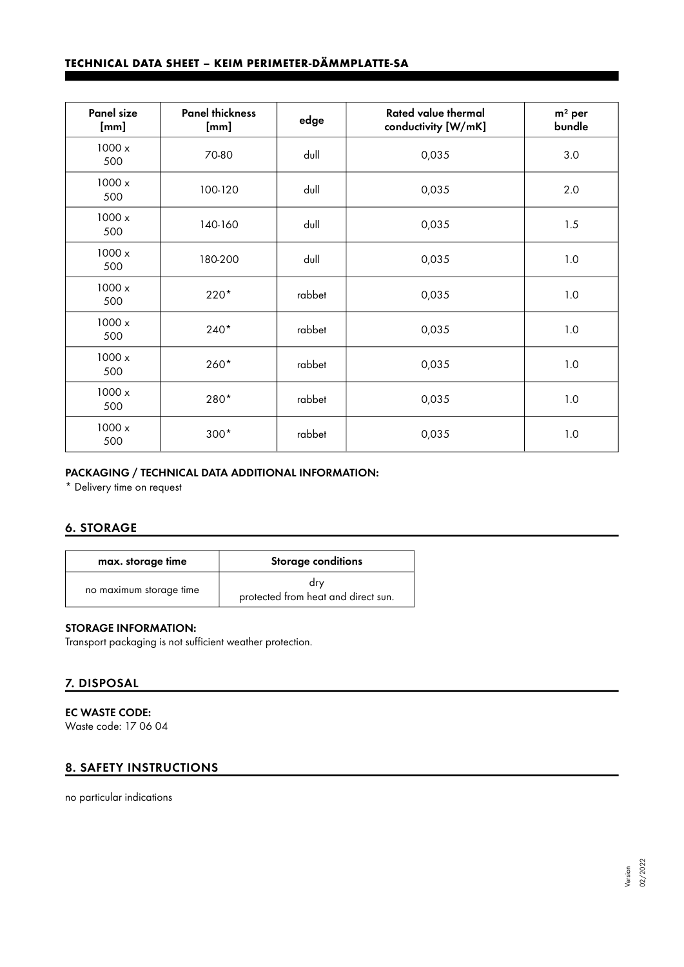# **TECHNICAL DATA SHEET – KEIM PERIMETER-DÄMMPLATTE-SA**

| <b>Panel size</b><br>[mm] | <b>Panel thickness</b><br>[mm] | edge   | <b>Rated value thermal</b><br>conductivity [W/mK] | $m2$ per<br>bundle |
|---------------------------|--------------------------------|--------|---------------------------------------------------|--------------------|
| 1000x<br>500              | 70-80                          | dull   | 0,035                                             | 3.0                |
| 1000x<br>500              | 100-120                        | dull   | 0,035                                             | 2.0                |
| 1000x<br>500              | 140-160                        | dull   | 0,035                                             | 1.5                |
| 1000x<br>500              | 180-200                        | dull   | 0,035                                             | 1.0                |
| 1000 x<br>500             | 220*                           | rabbet | 0,035                                             | 1.0                |
| 1000 x<br>500             | $240*$                         | rabbet | 0,035                                             | 1.0                |
| 1000x<br>500              | 260*                           | rabbet | 0,035                                             | 1.0                |
| 1000 x<br>500             | 280*                           | rabbet | 0,035                                             | 1.0                |
| 1000 x<br>500             | $300*$                         | rabbet | 0,035                                             | 1.0                |

## PACKAGING / TECHNICAL DATA ADDITIONAL INFORMATION:

\* Delivery time on request

## 6. STORAGE

| max. storage time       | <b>Storage conditions</b>                  |
|-------------------------|--------------------------------------------|
| no maximum storage time | drv<br>protected from heat and direct sun. |

### STORAGE INFORMATION:

Transport packaging is not sufficient weather protection.

## 7. DISPOSAL

EC WASTE CODE: Waste code: 17 06 04

## 8. SAFETY INSTRUCTIONS

no particular indications